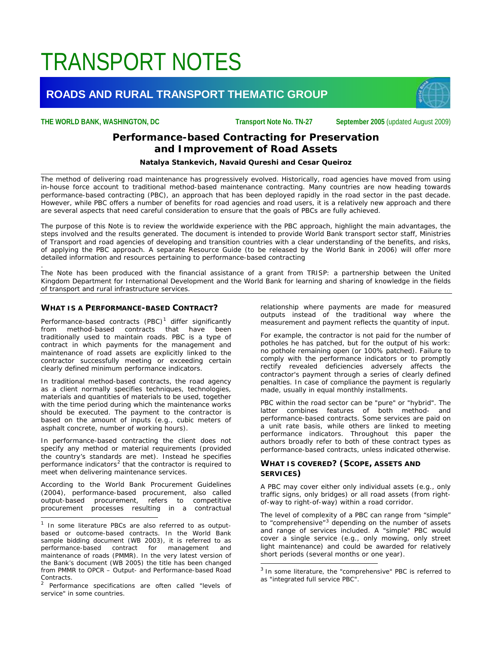# TRANSPORT NOTES

# **ROADS AND RURAL TRANSPORT THEMATIC GROUP**



**THE WORLD BANK, WASHINGTON, DC Transport Note No. TN-27 September 2005** (updated August 2009)

# *Performance-based Contracting for Preservation and Improvement of Road Assets*

#### *Natalya Stankevich, Navaid Qureshi and Cesar Queiroz* \_\_\_\_\_\_\_\_\_\_\_\_\_\_\_\_\_\_\_\_\_\_\_\_\_\_\_\_\_\_\_\_\_\_\_\_\_\_\_\_\_\_\_\_\_\_\_\_\_\_\_\_\_\_\_\_\_\_\_\_\_\_\_\_\_\_\_\_\_\_\_\_\_\_\_\_\_\_\_\_\_\_\_\_\_\_\_\_\_\_\_\_\_\_\_\_\_\_\_\_\_\_\_\_\_

*The method of delivering road maintenance has progressively evolved. Historically, road agencies have moved from using in-house force account to traditional method-based maintenance contracting. Many countries are now heading towards performance-based contracting (PBC), an approach that has been deployed rapidly in the road sector in the past decade. However, while PBC offers a number of benefits for road agencies and road users, it is a relatively new approach and there are several aspects that need careful consideration to ensure that the goals of PBCs are fully achieved.*

*The purpose of this Note is to review the worldwide experience with the PBC approach, highlight the main advantages, the steps involved and the results generated. The document is intended to provide World Bank transport sector staff, Ministries of Transport and road agencies of developing and transition countries with a clear understanding of the benefits, and risks, of applying the PBC approach. A separate Resource Guide (to be released by the World Bank in 2006) will offer more detailed information and resources pertaining to performance-based contracting*

*.* The Note has been produced with the financial assistance of a grant from TRISP: a partnership between the United *Kingdom Department for International Development and the World Bank for learning and sharing of knowledge in the fields of transport and rural infrastructure services.*

 $\overline{a}$ 

# **WHAT IS A PERFORMANCE-BASED CONTRACT?**

Performance-based contracts (PBC) $<sup>1</sup>$  $<sup>1</sup>$  $<sup>1</sup>$  differ significantly</sup> from method-based contracts that have been traditionally used to maintain roads. PBC is a type of contract in which payments for the management and maintenance of road assets are explicitly linked to the contractor successfully meeting or exceeding certain clearly defined minimum performance indicators.

In traditional method-based contracts, the road agency as a client normally specifies techniques, technologies, materials and quantities of materials to be used, together with the time period during which the maintenance works should be executed. The payment to the contractor is based on the amount of inputs (e.g., cubic meters of asphalt concrete, number of working hours).

In performance-based contracting the client does not specify any method or material requirements (provided the country's standards are met). Instead he specifies performance indicators<sup>[2](#page-0-1)</sup> that the contractor is required to meet when delivering maintenance services.

According to the World Bank Procurement Guidelines (2004), performance-based procurement, also called output-based procurement, refers to competitive procurement processes resulting in a contractual

 $\overline{a}$ 

relationship where payments are made for measured outputs instead of the traditional way where the measurement and payment reflects the quantity of input.

For example, the contractor is not paid for the number of potholes he has patched, but for the output of his work: no pothole remaining open (or 100% patched). Failure to comply with the performance indicators or to promptly rectify revealed deficiencies adversely affects the contractor's payment through a series of clearly defined penalties. In case of compliance the payment is regularly made, usually in equal monthly installments.

PBC within the road sector can be "pure" or "hybrid". The latter combines features of both method- and performance-based contracts. Some services are paid on a unit rate basis, while others are linked to meeting performance indicators. Throughout this paper the authors broadly refer to both of these contract types as performance-based contracts, unless indicated otherwise.

# **WHAT IS COVERED? (SCOPE, ASSETS AND SERVICES)**

A PBC may cover either only individual assets (e.g., only traffic signs, only bridges) or all road assets (from rightof-way to right-of-way) within a road corridor.

The level of complexity of a PBC can range from "simple" to "comprehensive"<sup>[3](#page-0-2)</sup> depending on the number of assets and range of services included. A "simple" PBC would cover a single service (e.g., only mowing, only street light maintenance) and could be awarded for relatively short periods (several months or one year).

<span id="page-0-0"></span> $1$  In some literature PBCs are also referred to as outputbased or outcome-based contracts. In the World Bank sample bidding document (WB 2003), it is referred to as performance-based contract for management and maintenance of roads (PMMR). In the very latest version of the Bank's document (WB 2005) the title has been changed from PMMR to OPCR – Output- and Performance-based Road Contracts.

<span id="page-0-2"></span><span id="page-0-1"></span>Performance specifications are often called "levels of service" in some countries.

 $3$  In some literature, the "comprehensive" PBC is referred to as "integrated full service PBC".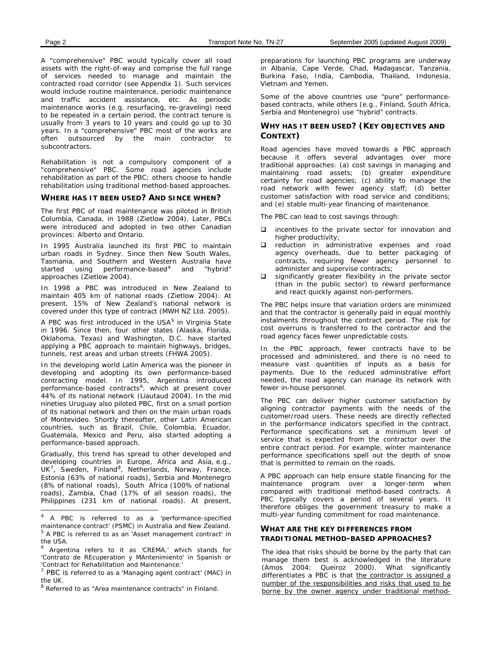A "comprehensive" PBC would typically cover all road assets with the right-of-way and comprise the full range of services needed to manage and maintain the contracted road corridor (see Appendix 1). Such services would include routine maintenance, periodic maintenance and traffic accident assistance, etc. As periodic maintenance works (e.g. resurfacing, re-graveling) need to be repeated in a certain period, the contract tenure is usually from 3 years to 10 years and could go up to 30 years. In a "comprehensive" PBC most of the works are often outsourced by the main contractor to subcontractors.

Rehabilitation is not a compulsory component of a "comprehensive" PBC. Some road agencies include rehabilitation as part of the PBC; others choose to handle rehabilitation using traditional method-based approaches.

#### **WHERE HAS IT BEEN USED? AND SINCE WHEN?**

The first PBC of road maintenance was piloted in British Columbia, Canada, in 1988 (Zietlow 2004). Later, PBCs were introduced and adopted in two other Canadian provinces: Alberto and Ontario.

In 1995 Australia launched its first PBC to maintain urban roads in Sydney. Since then New South Wales, Tasmania, and Southern and Western Australia have started using performance-based<sup>[4](#page-1-0)</sup> and "hybrid" approaches (Zietlow 2004).

In 1998 a PBC was introduced in New Zealand to maintain 405 km of national roads (Zietlow 2004). At present, 15% of New Zealand's national network is covered under this type of contract (MWH NZ Ltd. 2005).

A PBC was first introduced in the USA<sup>[5](#page-1-1)</sup> in Virginia State in 1996. Since then, four other states (Alaska, Florida, Oklahoma, Texas) and Washington, D.C. have started applying a PBC approach to maintain highways, bridges, tunnels, rest areas and urban streets (FHWA 2005).

In the developing world Latin America was the pioneer in developing and adopting its own performance-based contracting model. In 1995, Argentina introduced performance-based contracts [6](#page-1-2) , which at present cover 44% of its national network (Liautaud 2004). In the mid nineties Uruguay also piloted PBC, first on a small portion of its national network and then on the main urban roads of Montevideo. Shortly thereafter, other Latin American countries, such as Brazil, Chile, Colombia, Ecuador, Guatemala, Mexico and Peru, also started adopting a performance-based approach.

Gradually, this trend has spread to other developed and developing countries in Europe, Africa and Asia, e.g., UK<sup>7</sup>, Sweden, Finland<sup>[8](#page-1-4)</sup>, Netherlands, Norway, France, roads), Zambia, Chad (17% of all season roads), the Philippines (231 km of national roads). At present, Estonia (63% of national roads), Serbia and Montenegro (8% of national roads), South Africa (100% of national

 $\overline{a}$ 

preparations for launching PBC programs are underway in Albania, Cape Verde, Chad, Madagascar, Tanzania, Burkina Faso, India, Cambodia, Thailand, Indonesia, Vietnam and Yemen.

Some of the above countries use "pure" performancebased contracts, while others (e.g., Finland, South Africa, Serbia and Montenegro) use "hybrid" contracts.

# **WHY HAS IT BEEN USED? (KEY OBJECTIVES AND CONTEXT)**

Road agencies have moved towards a PBC approach because it offers several advantages over more traditional approaches: (a) cost savings in managing and maintaining road assets; (b) greater expenditure certainty for road agencies; (c) ability to manage the road network with fewer agency staff; (d) better customer satisfaction with road service and conditions; and (e) stable multi-year financing of maintenance.

The PBC can lead to cost savings through:

- $\Box$  incentives to the private sector for innovation and higher productivity;
- **Q** reduction in administrative expenses and road agency overheads, due to better packaging of contracts, requiring fewer agency personnel to administer and supervise contracts;
- $\square$  significantly greater flexibility in the private sector (than in the public sector) to reward performance and react quickly against non-performers.

The PBC helps insure that variation orders are minimized and that the contractor is generally paid in equal monthly instalments throughout the contract period. The risk for cost overruns is transferred to the contractor and the road agency faces fewer unpredictable costs.

In the PBC approach, fewer contracts have to be processed and administered, and there is no need to measure vast quantities of inputs as a basis for payments. Due to the reduced administrative effort needed, the road agency can manage its network with fewer in-house personnel.

The PBC can deliver higher customer satisfaction by aligning contractor payments with the needs of the customer/road users. These needs are directly reflected in the performance indicators specified in the contract. Performance specifications set a minimum level of service that is expected from the contractor over the entire contract period. For example, winter maintenance performance specifications spell out the depth of snow that is permitted to remain on the roads.

A PBC approach can help ensure stable financing for the maintenance program over a longer-term when compared with traditional method-based contracts. A PBC typically covers a period of several years. It therefore obliges the government treasury to make a multi-year funding commitment for road maintenance.

# **WHAT ARE THE KEY DIFFERENCES FROM TRADITIONAL METHOD-BASED APPROACHES?**

The idea that risks should be borne by the party that can manage them best is acknowledged in the literature (Amos 2004; Queiroz 2000). What significantly differentiates a PBC is that the contractor is assigned a number of the responsibilities and risks that used to be borne by the owner agency under traditional method-

<span id="page-1-1"></span><span id="page-1-0"></span><sup>4</sup> A PBC is referred to as a 'performance-specified maintenance contract' (PSMC) in Australia and New Zealand. <sup>5</sup> A PBC is referred to as an 'Asset management contract' in the USA.

<span id="page-1-2"></span><sup>&</sup>lt;sup>6</sup> Argentina refers to it as 'CREMA,' which stands for 'Contrato de REcuperation y MAntenimiento' in Spanish or 'Contract for Rehabilitation and Maintenance.'

<span id="page-1-3"></span> $7$  PBC is referred to as a 'Managing agent contract' (MAC) in the UK.

<span id="page-1-4"></span> $8$  Referred to as "Area maintenance contracts" in Finland.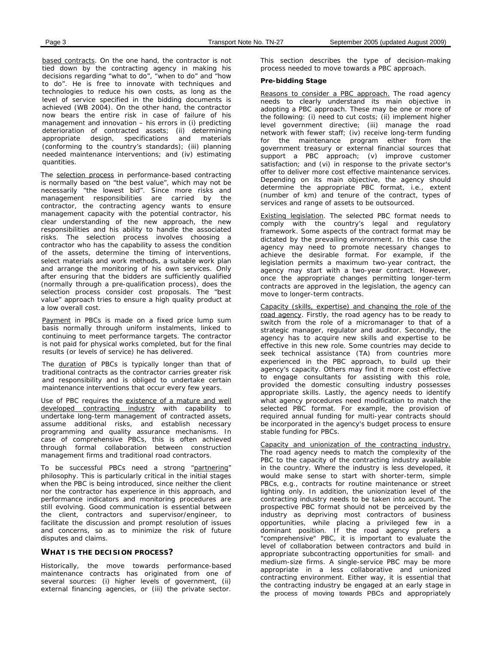based contracts. On the one hand, the contractor is not tied down by the contracting agency in making his decisions regarding "what to do", "when to do" and "how to do". He is free to innovate with techniques and technologies to reduce his own costs, as long as the level of service specified in the bidding documents is achieved (WB 2004). On the other hand, the contractor now bears the entire risk in case of failure of his management and innovation – his errors in (i) predicting deterioration of contracted assets; (ii) determining appropriate design, specifications and materials (conforming to the country's standards); (iii) planning needed maintenance interventions; and (iv) estimating quantities.

The selection process in performance-based contracting is normally based on "the best value", which may not be necessarily "the lowest bid". Since more risks and management responsibilities are carried by the contractor, the contracting agency wants to ensure management capacity with the potential contractor, his clear understanding of the new approach, the new responsibilities and his ability to handle the associated risks. The selection process involves choosing a contractor who has the capability to assess the condition of the assets, determine the timing of interventions, select materials and work methods, a suitable work plan and arrange the monitoring of his own services. Only after ensuring that the bidders are sufficiently qualified (normally through a pre-qualification process), does the selection process consider cost proposals. The "best value" approach tries to ensure a high quality product at a low overall cost.

Payment in PBCs is made on a fixed price lump sum basis normally through uniform instalments, linked to continuing to meet performance targets. The contractor is not paid for physical works completed, but for the final results (or levels of service) he has delivered.

The **duration** of PBCs is typically longer than that of traditional contracts as the contractor carries greater risk and responsibility and is obliged to undertake certain maintenance interventions that occur every few years.

Use of PBC requires the existence of a mature and well developed contracting industry with capability to undertake long-term management of contracted assets, assume additional risks, and establish necessary programming and quality assurance mechanisms. In case of comprehensive PBCs, this is often achieved through formal collaboration between construction management firms and traditional road contractors.

To be successful PBCs need a strong "partnering" philosophy. This is particularly critical in the initial stages when the PBC is being introduced, since neither the client nor the contractor has experience in this approach, and performance indicators and monitoring procedures are still evolving. Good communication is essential between the client, contractors and supervisor/engineer, to facilitate the discussion and prompt resolution of issues and concerns, so as to minimize the risk of future disputes and claims.

#### **WHAT IS THE DECISION PROCESS?**

Historically, the move towards performance-based maintenance contracts has originated from one of several sources: (i) higher levels of government, (ii) external financing agencies, or (iii) the private sector.

This section describes the type of decision-making process needed to move towards a PBC approach.

#### **Pre-bidding Stage**

Reasons to consider a PBC approach. The road agency needs to clearly understand its main objective in adopting a PBC approach. These may be one or more of the following: (i) need to cut costs; (ii) implement higher level government directive; (iii) manage the road network with fewer staff; (iv) receive long-term funding for the maintenance program either from the government treasury or external financial sources that support a PBC approach; (v) improve customer satisfaction; and (vi) in response to the private sector's offer to deliver more cost effective maintenance services. Depending on its main objective, the agency should determine the appropriate PBC format, i.e., extent (number of km) and tenure of the contract, types of services and range of assets to be outsourced.

Existing legislation. The selected PBC format needs to comply with the country's legal and regulatory framework. Some aspects of the contract format may be dictated by the prevailing environment. In this case the agency may need to promote necessary changes to achieve the desirable format. For example, if the legislation permits a maximum two-year contract, the agency may start with a two-year contract. However, once the appropriate changes permitting longer-term contracts are approved in the legislation, the agency can move to longer-term contracts.

Capacity (skills, expertise) and changing the role of the road agency. Firstly, the road agency has to be ready to switch from the role of a micromanager to that of a strategic manager, regulator and auditor. Secondly, the agency has to acquire new skills and expertise to be effective in this new role. Some countries may decide to seek technical assistance (TA) from countries more experienced in the PBC approach, to build up their agency's capacity. Others may find it more cost effective to engage consultants for assisting with this role, provided the domestic consulting industry possesses appropriate skills. Lastly, the agency needs to identify what agency procedures need modification to match the selected PBC format. For example, the provision of required annual funding for multi-year contracts should be incorporated in the agency's budget process to ensure stable funding for PBCs.

Capacity and unionization of the contracting industry. The road agency needs to match the complexity of the PBC to the capacity of the contracting industry available in the country. Where the industry is less developed, it would make sense to start with shorter-term, simple PBCs, e.g., contracts for routine maintenance or street lighting only. In addition, the unionization level of the contracting industry needs to be taken into account. The prospective PBC format should not be perceived by the industry as depriving most contractors of business opportunities, while placing a privileged few in a dominant position. If the road agency prefers a "comprehensive" PBC, it is important to evaluate the level of collaboration between contractors and build in appropriate subcontracting opportunities for small- and medium-size firms. A single-service PBC may be more appropriate in a less collaborative and unionized contracting environment. Either way, it is essential that the contracting industry be engaged at an early stage in the process of moving towards PBCs and appropriately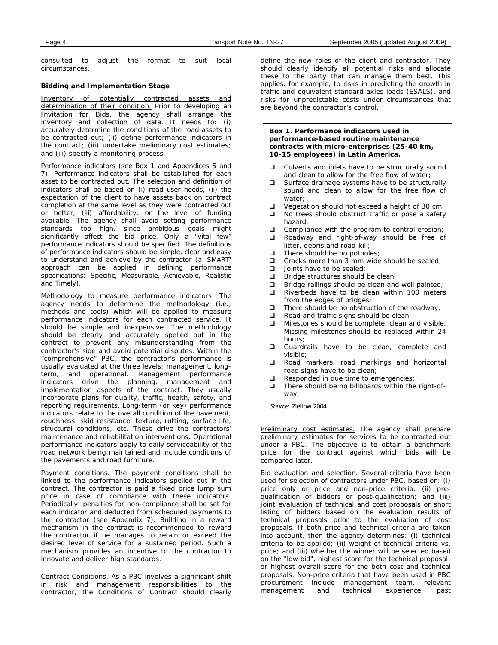consulted to adjust the format to suit local circumstances.

# **Bidding and Implementation Stage**

Inventory of potentially contracted assets and determination of their condition. Prior to developing an Invitation for Bids, the agency shall arrange the inventory and collection of data. It needs to: (i) accurately determine the conditions of the road assets to be contracted out; (ii) define performance indicators in the contract; (iii) undertake preliminary cost estimates; and (iii) specify a monitoring process.

Performance indicators (see Box 1 and Appendices 5 and 7). Performance indicators shall be established for each asset to be contracted out. The selection and definition of indicators shall be based on (i) road user needs, (ii) the expectation of the client to have assets back on contract completion at the same level as they were contracted out or better, (iii) affordability, or the level of funding available. The agency shall avoid setting performance standards too high, since ambitious goals might significantly affect the bid price. Only a "vital few" performance indicators should be specified. The definitions of performance indicators should be simple, clear and easy to understand and achieve by the contractor (a 'SMART' approach can be applied in defining performance specifications: Specific, Measurable, Achievable, Realistic and Timely).

Methodology to measure performance indicators. The agency needs to determine the methodology (i.e., methods and tools) which will be applied to measure performance indicators for each contracted service. It should be simple and inexpensive. The methodology should be clearly and accurately spelled out in the contract to prevent any misunderstanding from the contractor's side and avoid potential disputes. Within the "comprehensive" PBC, the contractor's performance is usually evaluated at the three levels: management, longterm, and operational. Management performance indicators drive the planning, management and implementation aspects of the contract. They usually incorporate plans for quality, traffic, health, safety, and reporting requirements. Long-term (or key) performance indicators relate to the overall condition of the pavement, roughness, skid resistance, texture, rutting, surface life, structural conditions, etc. These drive the contractors' maintenance and rehabilitation interventions. Operational performance indicators apply to daily serviceability of the road network being maintained and include conditions of the pavements and road furniture.

Payment conditions. The payment conditions shall be linked to the performance indicators spelled out in the contract. The contractor is paid a fixed price lump sum price in case of compliance with these indicators. Periodically, penalties for non-compliance shall be set for each indicator and deducted from scheduled payments to the contractor (see Appendix 7). Building in a reward mechanism in the contract is recommended to reward the contractor if he manages to retain or exceed the desired level of service for a sustained period. Such a mechanism provides an incentive to the contractor to innovate and deliver high standards.

Contract Conditions. As a PBC involves a significant shift in risk and management responsibilities to the contractor, the Conditions of Contract should clearly define the new roles of the client and contractor. They should clearly identify all potential risks and allocate these to the party that can manage them best. This applies, for example, to risks in predicting the growth in traffic and equivalent standard axles loads (ESALS), and risks for unpredictable costs under circumstances that are beyond the contractor's control.

#### **Box 1. Performance indicators used in performance-based routine maintenance contracts with micro-enterprises (25-40 km, 10-15 employees) in Latin America.**

- $\Box$  Culverts and inlets have to be structurally sound and clean to allow for the free flow of water;
- $\square$  Surface drainage systems have to be structurally sound and clean to allow for the free flow of water;
- $\Box$  Vegetation should not exceed a height of 30 cm;<br> $\Box$  No trees should obstruct traffic or nose a safety
- No trees should obstruct traffic or pose a safety hazard;
- $\Box$  Compliance with the program to control erosion;<br> $\Box$  Roadway and right-of-way should be free of
- Roadway and right-of-way should be free of litter, debris and road-kill;
- 
- $\Box$  There should be no potholes;<br> $\Box$  Cracks more than 3 mm wide Cracks more than 3 mm wide should be sealed;
- 
- $\Box$  Joints have to be sealed;<br> $\Box$  Bridge structures should Bridge structures should be clean;
- $\Box$  Bridge railings should be clean and well painted;<br> $\Box$  Riverbeds have to be clean within 100 meters
- Riverbeds have to be clean within 100 meters from the edges of bridges;
- 
- $\Box$  There should be no obstruction of the roadway;<br> $\Box$  Road and traffic signs should be clean; Road and traffic signs should be clean;
- $\Box$  Milestones should be complete, clean and visible. Missing milestones should be replaced within 24 hours;
- Guardrails have to be clean, complete and visible;
- **Q** Road markers, road markings and horizontal road signs have to be clean;
- $\Box$  Responded in due time to emergencies;
- There should be no billboards within the right-ofway.

Source: Zietlow 2004.

Preliminary cost estimates. The agency shall prepare preliminary estimates for services to be contracted out under a PBC. The objective is to obtain a benchmark price for the contract against which bids will be compared later.

Bid evaluation and selection. Several criteria have been used for selection of contractors under PBC, based on: (i) price only or price and non-price criteria; (ii) prequalification of bidders or post-qualification; and (iii) joint evaluation of technical and cost proposals or short listing of bidders based on the evaluation results of technical proposals prior to the evaluation of cost proposals. If both price and technical criteria are taken into account, then the agency determines: (i) technical criteria to be applied; (ii) weight of technical criteria vs. price; and (iii) whether the winner will be selected based on the "low bid", highest score for the technical proposal or highest overall score for the both cost and technical proposals. Non-price criteria that have been used in PBC procurement include management team, relevant<br>management and technical experience, past and technical experience, past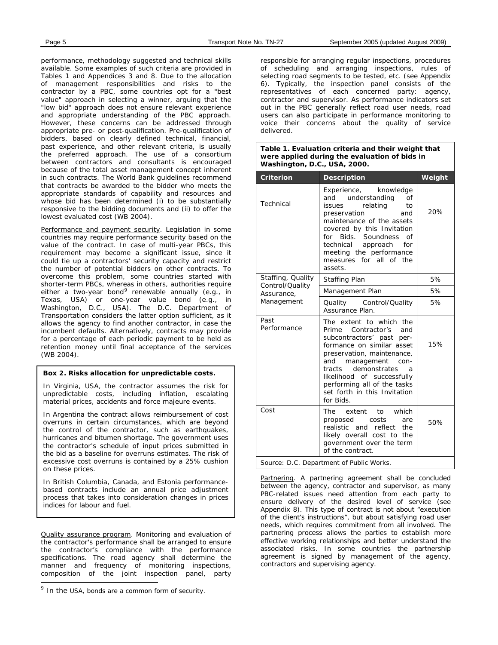performance, methodology suggested and technical skills available. Some examples of such criteria are provided in Tables 1 and Appendices 3 and 8. Due to the allocation of management responsibilities and risks to the contractor by a PBC, some countries opt for a "best value" approach in selecting a winner, arguing that the "low bid" approach does not ensure relevant experience and appropriate understanding of the PBC approach. However, these concerns can be addressed through appropriate pre- or post-qualification. Pre-qualification of bidders, based on clearly defined technical, financial, past experience, and other relevant criteria, is usually the preferred approach. The use of a consortium between contractors and consultants is encouraged because of the total asset management concept inherent in such contracts. The World Bank guidelines recommend that contracts be awarded to the bidder who meets the appropriate standards of capability and resources and whose bid has been determined (i) to be substantially responsive to the bidding documents and (ii) to offer the lowest evaluated cost (WB 2004).

Performance and payment security. Legislation in some countries may require performance security based on the value of the contract. In case of multi-year PBCs, this requirement may become a significant issue, since it could tie up a contractors' security capacity and restrict the number of potential bidders on other contracts. To overcome this problem, some countries started with shorter-term PBCs, whereas in others, authorities require either a two-year bond<sup>[9](#page-4-0)</sup> renewable annually (e.g., in Texas, USA) or one-year value bond (e.g., in Washington, D.C., USA). The D.C. Department of Transportation considers the latter option sufficient, as it allows the agency to find another contractor, in case the incumbent defaults. Alternatively, contracts may provide for a percentage of each periodic payment to be held as retention money until final acceptance of the services (WB 2004).

#### **Box 2. Risks allocation for unpredictable costs.**

In Virginia, USA, the contractor assumes the risk for unpredictable costs, including inflation, escalating material prices, accidents and force majeure events.

In Argentina the contract allows reimbursement of cost overruns in certain circumstances, which are beyond the control of the contractor, such as earthquakes, hurricanes and bitumen shortage. The government uses the contractor's schedule of input prices submitted in the bid as a baseline for overruns estimates. The risk of excessive cost overruns is contained by a 25% cushion on these prices.

In British Columbia, Canada, and Estonia performancebased contracts include an annual price adjustment process that takes into consideration changes in prices indices for labour and fuel.

Quality assurance program. Monitoring and evaluation of the contractor's performance shall be arranged to ensure the contractor's compliance with the performance specifications. The road agency shall determine the manner and frequency of monitoring inspections, composition of the joint inspection panel, party

 $\overline{a}$ 

responsible for arranging regular inspections, procedures of scheduling and arranging inspections, rules of selecting road segments to be tested, etc. (see Appendix 6). Typically, the inspection panel consists of the representatives of each concerned party: agency, contractor and supervisor. As performance indicators set out in the PBC generally reflect road user needs, road users can also participate in performance monitoring to voice their concerns about the quality of service delivered.

#### **Table 1. Evaluation criteria and their weight that were applied during the evaluation of bids in Washington, D.C., USA, 2000.**

| <b>Criterion</b>                         | <b>Description</b>                                                                                                                                                                                                                                                                                                       | Weight |  |
|------------------------------------------|--------------------------------------------------------------------------------------------------------------------------------------------------------------------------------------------------------------------------------------------------------------------------------------------------------------------------|--------|--|
| Technical                                | Experience,<br>knowledge<br>and understanding<br>of<br>relating<br>to<br>issues<br>preservation<br>and<br>maintenance of the assets<br>covered by this Invitation<br>for Bids. Soundness<br>of<br>technical<br>approach<br>for<br>meeting the performance<br>measures for all of the<br>assets.                          | 20%    |  |
| Staffing, Quality                        | <b>Staffing Plan</b>                                                                                                                                                                                                                                                                                                     | 5%     |  |
| Control/Quality<br>Assurance,            | Management Plan                                                                                                                                                                                                                                                                                                          | 5%     |  |
| Management                               | Quality Control/Quality<br>Assurance Plan.                                                                                                                                                                                                                                                                               | 5%     |  |
| Past<br>Performance                      | The extent to which the<br>Prime<br>Contractor's<br>and<br>subcontractors' past<br>per-<br>formance on similar asset<br>preservation, maintenance,<br>management<br>and<br>con-<br>demonstrates<br>tracts<br>a<br>likelihood of successfully<br>performing all of the tasks<br>set forth in this Invitation<br>for Bids. | 15%    |  |
| Cost                                     | The extent to which<br>costs<br>proposed<br>are<br>realistic and reflect the<br>likely overall cost to the<br>government over the term<br>of the contract.                                                                                                                                                               | 50%    |  |
| Source: D.C. Department of Public Works. |                                                                                                                                                                                                                                                                                                                          |        |  |

Partnering. A partnering agreement shall be concluded between the agency, contractor and supervisor, as many PBC-related issues need attention from each party to ensure delivery of the desired level of service (see Appendix 8). This type of contract is not about "execution of the client's instructions", but about satisfying road user needs, which requires commitment from all involved. The partnering process allows the parties to establish more effective working relationships and better understand the associated risks. In some countries the partnership agreement is signed by management of the agency, contractors and supervising agency.

<span id="page-4-0"></span> $9$  In the USA, bonds are a common form of security.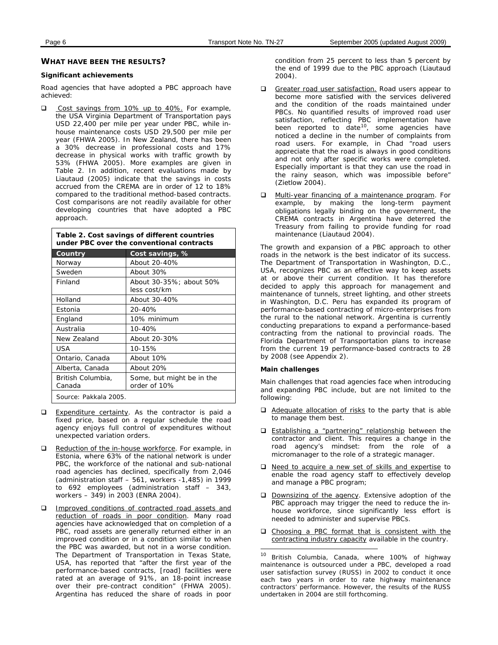#### **WHAT HAVE BEEN THE RESULTS?**

#### **Significant achievements**

Road agencies that have adopted a PBC approach have achieved:

Cost savings from 10% up to 40%. For example, the USA Virginia Department of Transportation pays USD 22,400 per mile per year under PBC, while inhouse maintenance costs USD 29,500 per mile per year (FHWA 2005). In New Zealand, there has been a 30% decrease in professional costs and 17% decrease in physical works with traffic growth by 53% (FHWA 2005). More examples are given in Table 2. In addition, recent evaluations made by Liautaud (2005) indicate that the savings in costs accrued from the CREMA are in order of 12 to 18% compared to the traditional method-based contracts. Cost comparisons are not readily available for other developing countries that have adopted a PBC approach.

**Table 2. Cost savings of different countries under PBC over the conventional contracts**

| Country                     | Cost savings, %                           |
|-----------------------------|-------------------------------------------|
| Norway                      | About 20-40%                              |
| Sweden                      | About 30%                                 |
| Finland                     | About 30-35%; about 50%<br>less cost/km   |
| Holland                     | About 30-40%                              |
| Estonia                     | 20-40%                                    |
| England                     | 10% minimum                               |
| Australia                   | 10-40%                                    |
| New Zealand                 | About 20-30%                              |
| USA                         | 10-15%                                    |
| Ontario, Canada             | About 10%                                 |
| Alberta, Canada             | About 20%                                 |
| British Columbia,<br>Canada | Some, but might be in the<br>order of 10% |
| Source: Pakkala 2005.       |                                           |

- **Expenditure certainty.** As the contractor is paid a fixed price, based on a regular schedule the road agency enjoys full control of expenditures without unexpected variation orders.
- Reduction of the in-house workforce. For example, in Estonia, where 63% of the national network is under PBC, the workforce of the national and sub-national road agencies has declined, specifically from 2,046 (administration staff – 561, workers -1,485) in 1999 to 692 employees (administration staff – 343, workers – 349) in 2003 (ENRA 2004).
- <span id="page-5-0"></span>**Improved conditions of contracted road assets and** reduction of roads in poor condition. Many road agencies have acknowledged that on completion of a PBC, road assets are generally returned either in an improved condition or in a condition similar to when the PBC was awarded, but not in a worse condition. The Department of Transportation in Texas State, USA, has reported that "after the first year of the performance-based contracts, [road] facilities were rated at an average of 91%, an 18-point increase over their pre-contract condition" (FHWA 2005). Argentina has reduced the share of roads in poor

condition from 25 percent to less than 5 percent by the end of 1999 due to the PBC approach (Liautaud 2004).

- Greater road user satisfaction. Road users appear to become more satisfied with the services delivered and the condition of the roads maintained under PBCs. No quantified results of improved road user satisfaction, reflecting PBC implementation have been reported to date<sup>[10](#page-5-0)</sup>, some agencies have noticed a decline in the number of complaints from road users. For example, in Chad "road users appreciate that the road is always in good conditions and not only after specific works were completed. Especially important is that they can use the road in the rainy season, which was impossible before" (Zietlow 2004).
- **D** Multi-year financing of a maintenance program. For example, by making the long-term payment obligations legally binding on the government, the CREMA contracts in Argentina have deterred the Treasury from failing to provide funding for road maintenance (Liautaud 2004).

The growth and expansion of a PBC approach to other roads in the network is the best indicator of its success. The Department of Transportation in Washington, D.C., USA, recognizes PBC as an effective way to keep assets at or above their current condition. It has therefore decided to apply this approach for management and maintenance of tunnels, street lighting, and other streets in Washington, D.C. Peru has expanded its program of performance-based contracting of micro-enterprises from the rural to the national network. Argentina is currently conducting preparations to expand a performance-based contracting from the national to provincial roads. The Florida Department of Transportation plans to increase from the current 19 performance-based contracts to 28 by 2008 (see Appendix 2).

#### **Main challenges**

Main challenges that road agencies face when introducing and expanding PBC include, but are not limited to the following:

- $\Box$  Adequate allocation of risks to the party that is able to manage them best.
- □ Establishing a "partnering" relationship between the contractor and client. This requires a change in the road agency's mindset: from the role of a micromanager to the role of a strategic manager.
- D Need to acquire a new set of skills and expertise to enable the road agency staff to effectively develop and manage a PBC program;
- D Downsizing of the agency. Extensive adoption of the PBC approach may trigger the need to reduce the inhouse workforce, since significantly less effort is needed to administer and supervise PBCs.
- $\Box$  Choosing a PBC format that is consistent with the contracting industry capacity available in the country.

 $10<sup>10</sup>$ British Columbia, Canada, where 100% of highway maintenance is outsourced under a PBC, developed a road user satisfaction survey (RUSS) in 2002 to conduct it once each two years in order to rate highway maintenance contractors' performance. However, the results of the RUSS undertaken in 2004 are still forthcoming.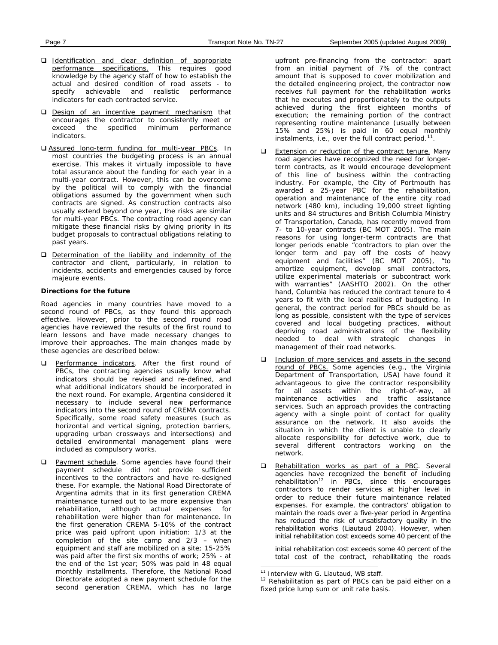- **I**dentification and clear definition of appropriate performance specifications. This requires good knowledge by the agency staff of how to establish the actual and desired condition of road assets - to specify achievable and realistic performance indicators for each contracted service.
- Design of an incentive payment mechanism that encourages the contractor to consistently meet or exceed the specified minimum performance indicators.
- D Assured long-term funding for multi-year PBCs. In most countries the budgeting process is an annual exercise. This makes it virtually impossible to have total assurance about the funding for each year in a multi-year contract. However, this can be overcome by the political will to comply with the financial obligations assumed by the government when such contracts are signed. As construction contracts also usually extend beyond one year, the risks are similar for multi-year PBCs. The contracting road agency can mitigate these financial risks by giving priority in its budget proposals to contractual obligations relating to past years.
- D Determination of the liability and indemnity of the contractor and client, particularly, in relation to incidents, accidents and emergencies caused by force majeure events.

#### **Directions for the future**

Road agencies in many countries have moved to a second round of PBCs, as they found this approach effective. However, prior to the second round road agencies have reviewed the results of the first round to learn lessons and have made necessary changes to improve their approaches. The main changes made by these agencies are described below:

- Performance indicators. After the first round of PBCs, the contracting agencies usually know what indicators should be revised and re-defined, and what additional indicators should be incorporated in the next round. For example, Argentina considered it necessary to include several new performance indicators into the second round of CREMA contracts. Specifically, some road safety measures (such as horizontal and vertical signing, protection barriers, upgrading urban crossways and intersections) and detailed environmental management plans were included as compulsory works.
- <span id="page-6-1"></span><span id="page-6-0"></span>**Q** Payment schedule. Some agencies have found their payment schedule did not provide sufficient incentives to the contractors and have re-designed these. For example, the National Road Directorate of Argentina admits that in its first generation CREMA maintenance turned out to be more expensive than rehabilitation, although actual expenses for rehabilitation were higher than for maintenance. In the first generation CREMA 5-10% of the contract price was paid upfront upon initiation: 1/3 at the completion of the site camp and 2/3 – when equipment and staff are mobilized on a site; 15-25% was paid after the first six months of work; 25% - at the end of the 1st year; 50% was paid in 48 equal monthly installments. Therefore, the National Road Directorate adopted a new payment schedule for the second generation CREMA, which has no large

upfront pre-financing from the contractor: apart from an initial payment of 7% of the contract amount that is supposed to cover mobilization and the detailed engineering project, the contractor now receives full payment for the rehabilitation works that he executes and proportionately to the outputs achieved during the first eighteen months of execution; the remaining portion of the contract representing routine maintenance (usually between 15% and 25%) is paid in 60 equal monthly instalments, i.e., over the full contract period. $11$ .

- Extension or reduction of the contract tenure. Many road agencies have recognized the need for longerterm contracts, as it would encourage development of this line of business within the contracting industry. For example, the City of Portmouth has awarded a 25-year PBC for the rehabilitation, operation and maintenance of the entire city road network (480 km), including 19,000 street lighting units and 84 structures and British Columbia Ministry of Transportation, Canada, has recently moved from 7- to 10-year contracts (BC MOT 2005). The main reasons for using longer-term contracts are that longer periods enable "contractors to plan over the longer term and pay off the costs of heavy equipment and facilities" (BC MOT 2005), "to amortize equipment, develop small contractors, utilize experimental materials or subcontract work with warranties" (AASHTO 2002). On the other hand, Columbia has reduced the contract tenure to 4 years to fit with the local realities of budgeting. In general, the contract period for PBCs should be as long as possible, consistent with the type of services covered and local budgeting practices, without depriving road administrations of the flexibility needed to deal with strategic changes in management of their road networks.
- Inclusion of more services and assets in the second round of PBCs. Some agencies (e.g., the Virginia Department of Transportation, USA) have found it advantageous to give the contractor responsibility for all assets within the right-of-way, all maintenance activities and traffic assistance services. Such an approach provides the contracting agency with a single point of contact for quality assurance on the network. It also avoids the situation in which the client is unable to clearly allocate responsibility for defective work, due to several different contractors working on the network.
- Rehabilitation works as part of a PBC. Several agencies have recognized the benefit of including rehabilitation<sup>[12](#page-6-1)</sup> in PBCs, since this encourages contractors to render services at higher level in order to reduce their future maintenance related expenses. For example, the contractors' obligation to maintain the roads over a five-year period in Argentina has reduced the risk of unsatisfactory quality in the rehabilitation works (Liautaud 2004). However, when initial rehabilitation cost exceeds some 40 percent of the

initial rehabilitation cost exceeds some 40 percent of the total cost of the contract, rehabilitating the roads

 $\overline{a}$ 

<sup>&</sup>lt;sup>11</sup> Interview with G. Liautaud, WB staff.

<sup>&</sup>lt;sup>12</sup> Rehabilitation as part of PBCs can be paid either on a fixed price lump sum or unit rate basis.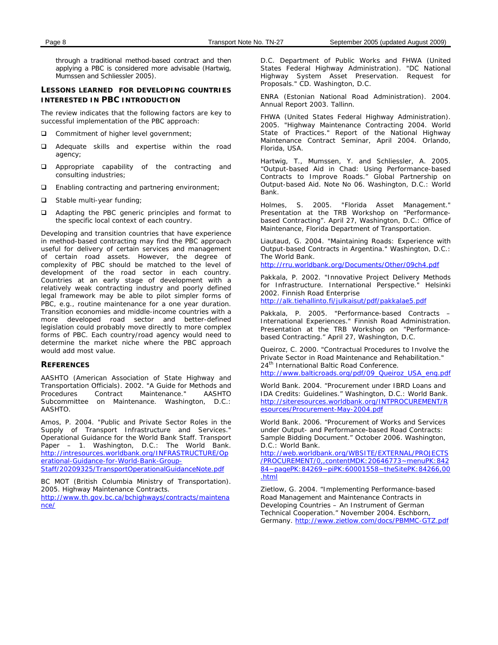through a traditional method-based contract and then applying a PBC is considered more advisable (Hartwig, Mumssen and Schliessler 2005).

# **LESSONS LEARNED FOR DEVELOPING COUNTRIES INTERESTED IN PBC INTRODUCTION**

The review indicates that the following factors are key to successful implementation of the PBC approach:

- Commitment of higher level government;
- Adequate skills and expertise within the road agency;
- **Q** Appropriate capability of the contracting and consulting industries;
- Enabling contracting and partnering environment;
- □ Stable multi-year funding;
- □ Adapting the PBC generic principles and format to the specific local context of each country.

Developing and transition countries that have experience in method-based contracting may find the PBC approach useful for delivery of certain services and management of certain road assets. However, the degree of complexity of PBC should be matched to the level of development of the road sector in each country. Countries at an early stage of development with a relatively weak contracting industry and poorly defined legal framework may be able to pilot simpler forms of PBC, e.g., routine maintenance for a one year duration. Transition economies and middle-income countries with a more developed road sector and better-defined legislation could probably move directly to more complex forms of PBC. Each country/road agency would need to determine the market niche where the PBC approach would add most value.

#### **REFERENCES**

AASHTO (American Association of State Highway and Transportation Officials). 2002. "A Guide for Methods and Maintenance." Subcommittee on Maintenance. Washington, D.C.: AASHTO.

Amos, P. 2004. "Public and Private Sector Roles in the Supply of Transport Infrastructure and Services." Operational Guidance for the World Bank Staff. Transport Paper – 1. Washington, D.C.: The World Bank. [http://intresources.worldbank.org/INFRASTRUCTURE/Op](http://intresources.worldbank.org/INFRASTRUCTURE/Operational-Guidance-for-World-Bank-Group-Staff/20209325/TransportOperationalGuidanceNote.pdf) [erational-Guidance-for-World-Bank-Group-](http://intresources.worldbank.org/INFRASTRUCTURE/Operational-Guidance-for-World-Bank-Group-Staff/20209325/TransportOperationalGuidanceNote.pdf)[Staff/20209325/TransportOperationalGuidanceNote.pdf](http://intresources.worldbank.org/INFRASTRUCTURE/Operational-Guidance-for-World-Bank-Group-Staff/20209325/TransportOperationalGuidanceNote.pdf)

BC MOT (British Columbia Ministry of Transportation). 2005. Highway Maintenance Contracts.

[http://www.th.gov.bc.ca/bchighways/contracts/maintena](http://www.th.gov.bc.ca/bchighways/contracts/maintenance/) [nce/](http://www.th.gov.bc.ca/bchighways/contracts/maintenance/)

D.C. Department of Public Works and FHWA (United States Federal Highway Administration). "DC National Highway System Asset Preservation. Request for Proposals." CD. Washington, D.C.

ENRA (Estonian National Road Administration). 2004. Annual Report 2003. Tallinn.

FHWA (United States Federal Highway Administration). 2005. "Highway Maintenance Contracting 2004. World State of Practices." Report of the National Highway Maintenance Contract Seminar, April 2004. Orlando, Florida, USA.

Hartwig, T., Mumssen, Y. and Schliessler, A. 2005. "Output-based Aid in Chad: Using Performance-based Contracts to Improve Roads." Global Partnership on Output-based Aid. Note No 06. Washington, D.C.: World Bank.

Holmes, S. 2005. "Florida Asset Management." Presentation at the TRB Workshop on "Performancebased Contracting". April 27, Washington, D.C.: Office of Maintenance, Florida Department of Transportation.

Liautaud, G. 2004. "Maintaining Roads: Experience with Output-based Contracts in Argentina." Washington, D.C.: The World Bank.

<http://rru.worldbank.org/Documents/Other/09ch4.pdf>

Pakkala, P. 2002. "Innovative Project Delivery Methods for Infrastructure. International Perspective." Helsinki 2002. Finnish Road Enterprise <http://alk.tiehallinto.fi/julkaisut/pdf/pakkalae5.pdf>

Pakkala, P. 2005. "Performance-based Contracts –

International Experiences." Finnish Road Administration. Presentation at the TRB Workshop on "Performancebased Contracting." April 27, Washington, D.C.

Queiroz, C. 2000. "Contractual Procedures to Involve the Private Sector in Road Maintenance and Rehabilitation." 24<sup>th</sup> International Baltic Road Conference.

[http://www.balticroads.org/pdf/09\\_Queiroz\\_USA\\_eng.pdf](http://www.balticroads.org/pdf/09_Queiroz_USA_eng.pdf)

World Bank. 2004. "Procurement under IBRD Loans and IDA Credits: Guidelines." Washington, D.C.: World Bank. [http://siteresources.worldbank.org/INTPROCUREMENT/R](http://siteresources.worldbank.org/INTPROCUREMENT/Resources/Procurement-May-2004.pdf) [esources/Procurement-May-2004.pdf](http://siteresources.worldbank.org/INTPROCUREMENT/Resources/Procurement-May-2004.pdf)

World Bank. 2006. "Procurement of Works and Services under Output- and Performance-based Road Contracts: Sample Bidding Document." October 2006. Washington, D.C.: World Bank.

[http://web.worldbank.org/WBSITE/EXTERNAL/PROJECTS](http://web.worldbank.org/WBSITE/EXTERNAL/PROJECTS/PROCUREMENT/0,,contentMDK:20646773~menuPK:84284~pagePK:84269~piPK:60001558~theSitePK:84266,00.html) [/PROCUREMENT/0,,contentMDK:20646773~menuPK:842](http://web.worldbank.org/WBSITE/EXTERNAL/PROJECTS/PROCUREMENT/0,,contentMDK:20646773~menuPK:84284~pagePK:84269~piPK:60001558~theSitePK:84266,00.html) [84~pagePK:84269~piPK:60001558~theSitePK:84266,00](http://web.worldbank.org/WBSITE/EXTERNAL/PROJECTS/PROCUREMENT/0,,contentMDK:20646773~menuPK:84284~pagePK:84269~piPK:60001558~theSitePK:84266,00.html) [.html](http://web.worldbank.org/WBSITE/EXTERNAL/PROJECTS/PROCUREMENT/0,,contentMDK:20646773~menuPK:84284~pagePK:84269~piPK:60001558~theSitePK:84266,00.html)

Zietlow, G. 2004. "Implementing Performance-based Road Management and Maintenance Contracts in Developing Countries – An Instrument of German Technical Cooperation." November 2004. Eschborn, Germany.<http://www.zietlow.com/docs/PBMMC-GTZ.pdf>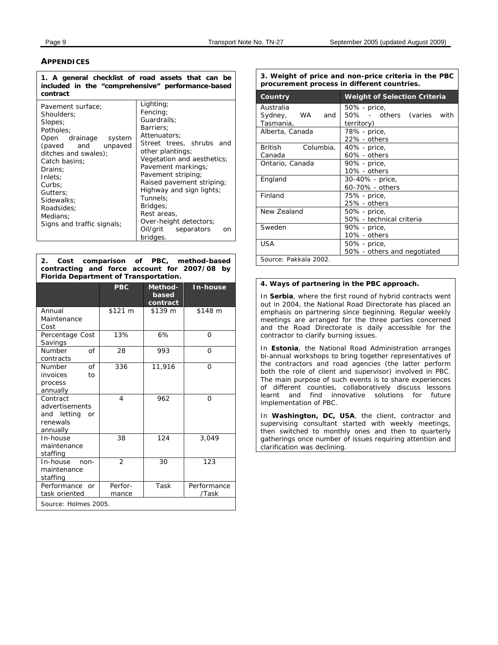# **APPENDICES**

**1. A general checklist of road assets that can be included in the "comprehensive" performance-based contract**

| Pavement surface;<br>Shoulders:<br>Slopes;<br>Potholes:<br>Open drainage<br>system<br>(paved and unpaved<br>ditches and swales);<br>Catch basins:<br>Drains:<br>Inlets:<br>Curbs:<br>Gutters:<br>Sidewalks:<br>Roadsides: | Lighting;<br>Fencing:<br>Guardrails:<br>Barriers:<br>Attenuators:<br>Street trees, shrubs and<br>other plantings;<br>Vegetation and aesthetics;<br>Pavement markings;<br>Pavement striping;<br>Raised pavement striping;<br>Highway and sign lights;<br>Tunnels:<br>Bridges:<br>Rest areas, |
|---------------------------------------------------------------------------------------------------------------------------------------------------------------------------------------------------------------------------|---------------------------------------------------------------------------------------------------------------------------------------------------------------------------------------------------------------------------------------------------------------------------------------------|
| Medians:<br>Signs and traffic signals;                                                                                                                                                                                    | Over-height detectors;<br>Oil/grit separators<br>on                                                                                                                                                                                                                                         |
|                                                                                                                                                                                                                           | bridges.                                                                                                                                                                                                                                                                                    |

**2. Cost comparison of PBC, method-based contracting and force account for 2007/08 by Florida Department of Transportation.**

|                                                                         | <b>PBC</b>       | Method-<br>based<br>contract | In-house             |
|-------------------------------------------------------------------------|------------------|------------------------------|----------------------|
| Annual<br>Maintenance<br>Cost                                           | \$121 m          | \$139 m                      | \$148 m              |
| Percentage Cost<br>Savings                                              | 13%              | 6%                           | O                    |
| $\Omega$<br>Number<br>contracts                                         | 28               | 993                          | $\Omega$             |
| of<br><b>Number</b><br>invoices<br>to<br>process<br>annually            | 336              | 11,916                       | $\Omega$             |
| Contract<br>advertisements<br>and letting<br>or<br>renewals<br>annually | 4                | 962                          | $\Omega$             |
| In-house<br>maintenance<br>staffing                                     | 38               | 124                          | 3,049                |
| In-house<br>non-<br>maintenance<br>staffing                             | $\overline{2}$   | 30                           | 123                  |
| Performance or<br>task oriented                                         | Perfor-<br>mance | Task                         | Performance<br>/Task |
| Source: Holmes 2005.                                                    |                  |                              |                      |

**3. Weight of price and non-price criteria in the PBC procurement process in different countries.**

| Country                                          | <b>Weight of Selection Criteria</b>                     |  |  |  |  |
|--------------------------------------------------|---------------------------------------------------------|--|--|--|--|
| Australia<br>Sydney,<br>and<br>- WA<br>Tasmania, | 50% - price,<br>50% - others (varies with<br>territory) |  |  |  |  |
| Alberta, Canada                                  | 78% - price,<br>22% - others                            |  |  |  |  |
| Columbia,<br>British<br>Canada                   | 40% - price,<br>$60\%$ - others                         |  |  |  |  |
| Ontario, Canada                                  | 90% - price,<br>$10\%$ - others                         |  |  |  |  |
| England                                          | 30-40% - price,<br>60-70% - others                      |  |  |  |  |
| Finland                                          | 75% - price,<br>25% - others                            |  |  |  |  |
| New Zealand                                      | 50% - price,<br>50% - technical criteria                |  |  |  |  |
| Sweden                                           | 90% - price,<br>10% - others                            |  |  |  |  |
| USA                                              | 50% - price,<br>50% - others and negotiated             |  |  |  |  |
| Source: Pakkala 2002.                            |                                                         |  |  |  |  |

#### **4. Ways of partnering in the PBC approach.**

In **Serbia**, where the first round of hybrid contracts went out in 2004, the National Road Directorate has placed an emphasis on partnering since beginning. Regular weekly meetings are arranged for the three parties concerned and the Road Directorate is daily accessible for the contractor to clarify burning issues.

In **Estonia**, the National Road Administration arranges bi-annual workshops to bring together representatives of the contractors and road agencies (the latter perform both the role of client and supervisor) involved in PBC. The main purpose of such events is to share experiences of different counties, collaboratively discuss lessons learnt and find innovative solutions for future implementation of PBC.

In **Washington, DC, USA**, the client, contractor and supervising consultant started with weekly meetings, then switched to monthly ones and then to quarterly gatherings once number of issues requiring attention and clarification was declining.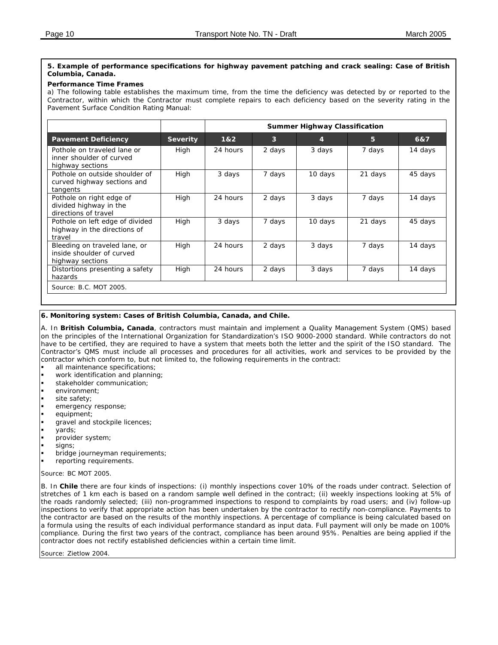### **5. Example of performance specifications for highway pavement patching and crack sealing: Case of British Columbia, Canada.**

# **Performance Time Frames**

a) The following table establishes the maximum time, from the time the deficiency was detected by or reported to the Contractor, within which the Contractor must complete repairs to each deficiency based on the severity rating in the Pavement Surface Condition Rating Manual:

|                                                                                |                 | <b>Summer Highway Classification</b> |                         |         |         |         |
|--------------------------------------------------------------------------------|-----------------|--------------------------------------|-------------------------|---------|---------|---------|
| <b>Pavement Deficiency</b>                                                     | <b>Severity</b> | 1&2                                  | $\overline{\mathbf{3}}$ | 4       | 5       | 6&7     |
| Pothole on traveled lane or<br>inner shoulder of curved<br>highway sections    | High            | 24 hours                             | 2 days                  | 3 days  | 7 days  | 14 days |
| Pothole on outside shoulder of<br>curved highway sections and<br>tangents      | High            | 3 days                               | 7 days                  | 10 days | 21 days | 45 days |
| Pothole on right edge of<br>divided highway in the<br>directions of travel     | High            | 24 hours                             | 2 days                  | 3 days  | 7 days  | 14 days |
| Pothole on left edge of divided<br>highway in the directions of<br>travel      | High            | 3 days                               | 7 days                  | 10 days | 21 days | 45 days |
| Bleeding on traveled lane, or<br>inside shoulder of curved<br>highway sections | High            | 24 hours                             | 2 days                  | 3 days  | 7 days  | 14 days |
| Distortions presenting a safety<br>hazards                                     | High            | 24 hours                             | 2 days                  | 3 days  | 7 days  | 14 days |
| Source: B.C. MOT 2005.                                                         |                 |                                      |                         |         |         |         |

#### **6. Monitoring system: Cases of British Columbia, Canada, and Chile.**

A. In **British Columbia, Canada**, contractors must maintain and implement a Quality Management System (QMS) based on the principles of the International Organization for Standardization's ISO 9000-2000 standard. While contractors do not have to be certified, they are required to have a system that meets both the letter and the spirit of the ISO standard. The Contractor's QMS must include all processes and procedures for all activities, work and services to be provided by the contractor which conform to, but not limited to, the following requirements in the contract:

- all maintenance specifications;
- work identification and planning;
- stakeholder communication;
- environment;
- site safety;
- emergency response;
- equipment;
- gravel and stockpile licences;
- yards;
- provider system;
- signs:
- bridge journeyman requirements;
- reporting requirements.

*Source*: BC MOT 2005.

B. In **Chile** there are four kinds of inspections: (i) monthly inspections cover 10% of the roads under contract. Selection of stretches of 1 km each is based on a random sample well defined in the contract; (ii) weekly inspections looking at 5% of the roads randomly selected; (iii) non-programmed inspections to respond to complaints by road users; and (iv) follow-up inspections to verify that appropriate action has been undertaken by the contractor to rectify non-compliance. Payments to the contractor are based on the results of the monthly inspections. A percentage of compliance is being calculated based on a formula using the results of each individual performance standard as input data. Full payment will only be made on 100% compliance. During the first two years of the contract, compliance has been around 95%. Penalties are being applied if the contractor does not rectify established deficiencies within a certain time limit.

*Source*: Zietlow 2004.